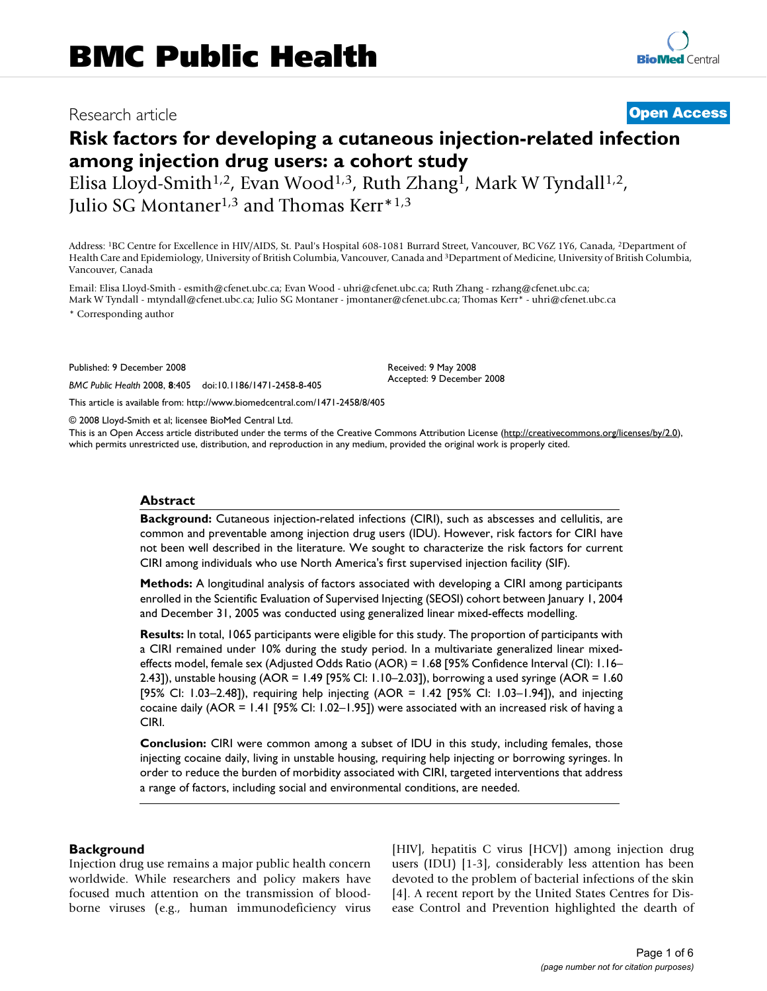# Research article **[Open Access](http://www.biomedcentral.com/info/about/charter/)**

# **Risk factors for developing a cutaneous injection-related infection among injection drug users: a cohort study**

Elisa Lloyd-Smith<sup>1,2</sup>, Evan Wood<sup>1,3</sup>, Ruth Zhang<sup>1</sup>, Mark W Tyndall<sup>1,2</sup>, Julio SG Montaner<sup>1,3</sup> and Thomas Kerr<sup>\*1,3</sup>

Address: 1BC Centre for Excellence in HIV/AIDS, St. Paul's Hospital 608-1081 Burrard Street, Vancouver, BC V6Z 1Y6, Canada, 2Department of Health Care and Epidemiology, University of British Columbia, Vancouver, Canada and 3Department of Medicine, University of British Columbia, Vancouver, Canada

Email: Elisa Lloyd-Smith - esmith@cfenet.ubc.ca; Evan Wood - uhri@cfenet.ubc.ca; Ruth Zhang - rzhang@cfenet.ubc.ca; Mark W Tyndall - mtyndall@cfenet.ubc.ca; Julio SG Montaner - jmontaner@cfenet.ubc.ca; Thomas Kerr\* - uhri@cfenet.ubc.ca \* Corresponding author

Published: 9 December 2008

*BMC Public Health* 2008, **8**:405 doi:10.1186/1471-2458-8-405

[This article is available from: http://www.biomedcentral.com/1471-2458/8/405](http://www.biomedcentral.com/1471-2458/8/405)

© 2008 Lloyd-Smith et al; licensee BioMed Central Ltd.

This is an Open Access article distributed under the terms of the Creative Commons Attribution License [\(http://creativecommons.org/licenses/by/2.0\)](http://creativecommons.org/licenses/by/2.0), which permits unrestricted use, distribution, and reproduction in any medium, provided the original work is properly cited.

Received: 9 May 2008 Accepted: 9 December 2008

#### **Abstract**

**Background:** Cutaneous injection-related infections (CIRI), such as abscesses and cellulitis, are common and preventable among injection drug users (IDU). However, risk factors for CIRI have not been well described in the literature. We sought to characterize the risk factors for current CIRI among individuals who use North America's first supervised injection facility (SIF).

**Methods:** A longitudinal analysis of factors associated with developing a CIRI among participants enrolled in the Scientific Evaluation of Supervised Injecting (SEOSI) cohort between January 1, 2004 and December 31, 2005 was conducted using generalized linear mixed-effects modelling.

**Results:** In total, 1065 participants were eligible for this study. The proportion of participants with a CIRI remained under 10% during the study period. In a multivariate generalized linear mixedeffects model, female sex (Adjusted Odds Ratio (AOR) = 1.68 [95% Confidence Interval (CI): 1.16– 2.43]), unstable housing (AOR = 1.49 [95% CI: 1.10–2.03]), borrowing a used syringe (AOR = 1.60 [95% CI: 1.03–2.48]), requiring help injecting (AOR = 1.42 [95% CI: 1.03–1.94]), and injecting cocaine daily (AOR = 1.41 [95% CI: 1.02–1.95]) were associated with an increased risk of having a CIRI.

**Conclusion:** CIRI were common among a subset of IDU in this study, including females, those injecting cocaine daily, living in unstable housing, requiring help injecting or borrowing syringes. In order to reduce the burden of morbidity associated with CIRI, targeted interventions that address a range of factors, including social and environmental conditions, are needed.

# **Background**

Injection drug use remains a major public health concern worldwide. While researchers and policy makers have focused much attention on the transmission of bloodborne viruses (e.g., human immunodeficiency virus [HIV], hepatitis C virus [HCV]) among injection drug users (IDU) [1-3], considerably less attention has been devoted to the problem of bacterial infections of the skin [4]. A recent report by the United States Centres for Disease Control and Prevention highlighted the dearth of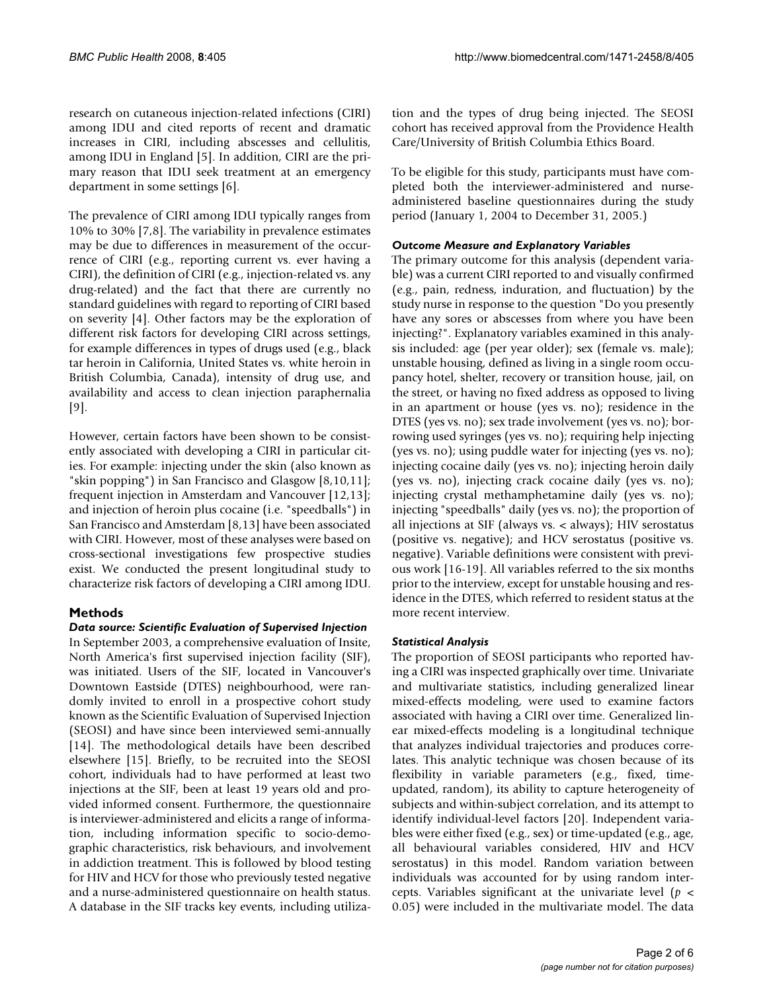research on cutaneous injection-related infections (CIRI) among IDU and cited reports of recent and dramatic increases in CIRI, including abscesses and cellulitis, among IDU in England [5]. In addition, CIRI are the primary reason that IDU seek treatment at an emergency department in some settings [6].

The prevalence of CIRI among IDU typically ranges from 10% to 30% [7,8]. The variability in prevalence estimates may be due to differences in measurement of the occurrence of CIRI (e.g., reporting current vs. ever having a CIRI), the definition of CIRI (e.g., injection-related vs. any drug-related) and the fact that there are currently no standard guidelines with regard to reporting of CIRI based on severity [4]. Other factors may be the exploration of different risk factors for developing CIRI across settings, for example differences in types of drugs used (e.g., black tar heroin in California, United States vs. white heroin in British Columbia, Canada), intensity of drug use, and availability and access to clean injection paraphernalia [9].

However, certain factors have been shown to be consistently associated with developing a CIRI in particular cities. For example: injecting under the skin (also known as "skin popping") in San Francisco and Glasgow [8,10,11]; frequent injection in Amsterdam and Vancouver [12,13]; and injection of heroin plus cocaine (i.e. "speedballs") in San Francisco and Amsterdam [8,13] have been associated with CIRI. However, most of these analyses were based on cross-sectional investigations few prospective studies exist. We conducted the present longitudinal study to characterize risk factors of developing a CIRI among IDU.

# **Methods**

*Data source: Scientific Evaluation of Supervised Injection* In September 2003, a comprehensive evaluation of Insite, North America's first supervised injection facility (SIF), was initiated. Users of the SIF, located in Vancouver's

Downtown Eastside (DTES) neighbourhood, were randomly invited to enroll in a prospective cohort study known as the Scientific Evaluation of Supervised Injection (SEOSI) and have since been interviewed semi-annually [14]. The methodological details have been described elsewhere [15]. Briefly, to be recruited into the SEOSI cohort, individuals had to have performed at least two injections at the SIF, been at least 19 years old and provided informed consent. Furthermore, the questionnaire is interviewer-administered and elicits a range of information, including information specific to socio-demographic characteristics, risk behaviours, and involvement in addiction treatment. This is followed by blood testing for HIV and HCV for those who previously tested negative and a nurse-administered questionnaire on health status. A database in the SIF tracks key events, including utilization and the types of drug being injected. The SEOSI cohort has received approval from the Providence Health Care/University of British Columbia Ethics Board.

To be eligible for this study, participants must have completed both the interviewer-administered and nurseadministered baseline questionnaires during the study period (January 1, 2004 to December 31, 2005.)

# *Outcome Measure and Explanatory Variables*

The primary outcome for this analysis (dependent variable) was a current CIRI reported to and visually confirmed (e.g., pain, redness, induration, and fluctuation) by the study nurse in response to the question "Do you presently have any sores or abscesses from where you have been injecting?". Explanatory variables examined in this analysis included: age (per year older); sex (female vs. male); unstable housing, defined as living in a single room occupancy hotel, shelter, recovery or transition house, jail, on the street, or having no fixed address as opposed to living in an apartment or house (yes vs. no); residence in the DTES (yes vs. no); sex trade involvement (yes vs. no); borrowing used syringes (yes vs. no); requiring help injecting (yes vs. no); using puddle water for injecting (yes vs. no); injecting cocaine daily (yes vs. no); injecting heroin daily (yes vs. no), injecting crack cocaine daily (yes vs. no); injecting crystal methamphetamine daily (yes vs. no); injecting "speedballs" daily (yes vs. no); the proportion of all injections at SIF (always vs. < always); HIV serostatus (positive vs. negative); and HCV serostatus (positive vs. negative). Variable definitions were consistent with previous work [16-19]. All variables referred to the six months prior to the interview, except for unstable housing and residence in the DTES, which referred to resident status at the more recent interview.

# *Statistical Analysis*

The proportion of SEOSI participants who reported having a CIRI was inspected graphically over time. Univariate and multivariate statistics, including generalized linear mixed-effects modeling, were used to examine factors associated with having a CIRI over time. Generalized linear mixed-effects modeling is a longitudinal technique that analyzes individual trajectories and produces correlates. This analytic technique was chosen because of its flexibility in variable parameters (e.g., fixed, timeupdated, random), its ability to capture heterogeneity of subjects and within-subject correlation, and its attempt to identify individual-level factors [20]. Independent variables were either fixed (e.g., sex) or time-updated (e.g., age, all behavioural variables considered, HIV and HCV serostatus) in this model. Random variation between individuals was accounted for by using random intercepts. Variables significant at the univariate level (*p* < 0.05) were included in the multivariate model. The data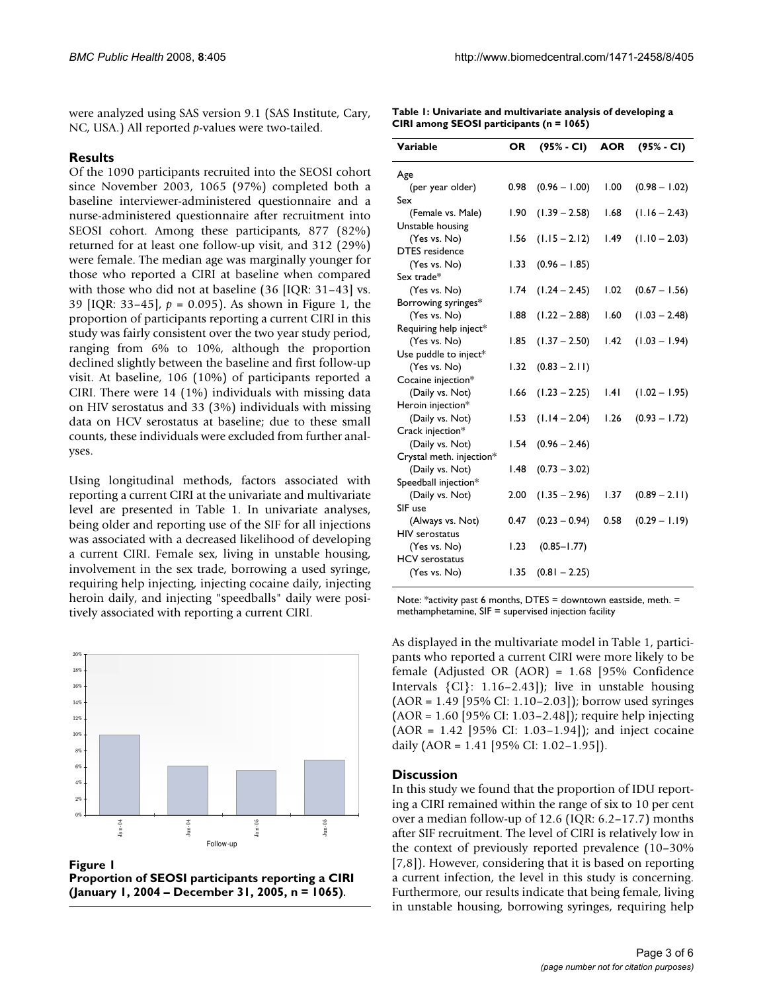were analyzed using SAS version 9.1 (SAS Institute, Cary, NC, USA.) All reported *p*-values were two-tailed.

# **Results**

Of the 1090 participants recruited into the SEOSI cohort since November 2003, 1065 (97%) completed both a baseline interviewer-administered questionnaire and a nurse-administered questionnaire after recruitment into SEOSI cohort. Among these participants, 877 (82%) returned for at least one follow-up visit, and 312 (29%) were female. The median age was marginally younger for those who reported a CIRI at baseline when compared with those who did not at baseline (36 [IQR: 31–43] vs. 39 [IQR: 33–45], *p* = 0.095). As shown in Figure 1, the proportion of participants reporting a current CIRI in this study was fairly consistent over the two year study period, ranging from 6% to 10%, although the proportion declined slightly between the baseline and first follow-up visit. At baseline, 106 (10%) of participants reported a CIRI. There were 14 (1%) individuals with missing data on HIV serostatus and 33 (3%) individuals with missing data on HCV serostatus at baseline; due to these small counts, these individuals were excluded from further analyses.

Using longitudinal methods, factors associated with reporting a current CIRI at the univariate and multivariate level are presented in Table 1. In univariate analyses, being older and reporting use of the SIF for all injections was associated with a decreased likelihood of developing a current CIRI. Female sex, living in unstable housing, involvement in the sex trade, borrowing a used syringe, requiring help injecting, injecting cocaine daily, injecting heroin daily, and injecting "speedballs" daily were positively associated with reporting a current CIRI.



**Figure 1 Proportion of SEOSI participants reporting a CIRI (January 1, 2004 – December 31, 2005, n = 1065)**.

**Table 1: Univariate and multivariate analysis of developing a CIRI among SEOSI participants (n = 1065)**

| Variable                 | OR   | $(95% - CI)$ AOR |      | $(95% - CI)$    |
|--------------------------|------|------------------|------|-----------------|
| Age                      |      |                  |      |                 |
| (per year older)         | 0.98 | $(0.96 - 1.00)$  | 1.00 | $(0.98 - 1.02)$ |
| Sex                      |      |                  |      |                 |
| (Female vs. Male)        | 1.90 | $(1.39 - 2.58)$  | 1.68 | $(1.16 - 2.43)$ |
| Unstable housing         |      |                  |      |                 |
| (Yes vs. No)             | 1.56 | $(1.15 - 2.12)$  | 1.49 | $(1.10 - 2.03)$ |
| <b>DTES</b> residence    |      |                  |      |                 |
| (Yes vs. No)             | 1.33 | $(0.96 - 1.85)$  |      |                 |
| Sex trade*               |      |                  |      |                 |
| (Yes vs. No)             | 1.74 | $(1.24 - 2.45)$  | 1.02 | $(0.67 - 1.56)$ |
| Borrowing syringes*      |      |                  |      |                 |
| (Yes vs. No)             | 1.88 | $(1.22 - 2.88)$  | 1.60 | $(1.03 - 2.48)$ |
| Requiring help inject*   |      |                  |      |                 |
| (Yes vs. No)             | 1.85 | $(1.37 - 2.50)$  | 1.42 | $(1.03 - 1.94)$ |
| Use puddle to inject*    |      |                  |      |                 |
| (Yes vs. No)             | 1.32 | $(0.83 - 2.11)$  |      |                 |
| Cocaine injection*       |      |                  |      |                 |
| (Daily vs. Not)          | 1.66 | $(1.23 - 2.25)$  | 1.41 | $(1.02 - 1.95)$ |
| Heroin injection*        |      |                  |      |                 |
| (Daily vs. Not)          | 1.53 | $(1.14 - 2.04)$  | 1.26 | $(0.93 - 1.72)$ |
| Crack injection*         |      |                  |      |                 |
| (Daily vs. Not)          | 1.54 | $(0.96 - 2.46)$  |      |                 |
| Crystal meth. injection* |      |                  |      |                 |
| (Daily vs. Not)          | 1.48 | $(0.73 - 3.02)$  |      |                 |
| Speedball injection*     |      |                  |      |                 |
| (Daily vs. Not)          | 2.00 | $(1.35 - 2.96)$  | 1.37 | $(0.89 - 2.11)$ |
| SIF use                  |      |                  |      |                 |
| (Always vs. Not)         | 0.47 | $(0.23 - 0.94)$  | 0.58 | $(0.29 - 1.19)$ |
| HIV serostatus           |      |                  |      |                 |
| (Yes vs. No)             | 1.23 | $(0.85 - 1.77)$  |      |                 |
| <b>HCV</b> serostatus    |      |                  |      |                 |
| (Yes vs. No)             | 1.35 | $(0.81 - 2.25)$  |      |                 |

Note: \*activity past 6 months, DTES = downtown eastside, meth. = methamphetamine, SIF = supervised injection facility

As displayed in the multivariate model in Table 1, participants who reported a current CIRI were more likely to be female (Adjusted OR (AOR) = 1.68 [95% Confidence Intervals {CI}: 1.16–2.43]); live in unstable housing (AOR = 1.49 [95% CI: 1.10–2.03]); borrow used syringes (AOR = 1.60 [95% CI: 1.03–2.48]); require help injecting (AOR = 1.42 [95% CI: 1.03–1.94]); and inject cocaine daily (AOR = 1.41 [95% CI: 1.02–1.95]).

# **Discussion**

In this study we found that the proportion of IDU reporting a CIRI remained within the range of six to 10 per cent over a median follow-up of 12.6 (IQR: 6.2–17.7) months after SIF recruitment. The level of CIRI is relatively low in the context of previously reported prevalence (10–30% [7,8]). However, considering that it is based on reporting a current infection, the level in this study is concerning. Furthermore, our results indicate that being female, living in unstable housing, borrowing syringes, requiring help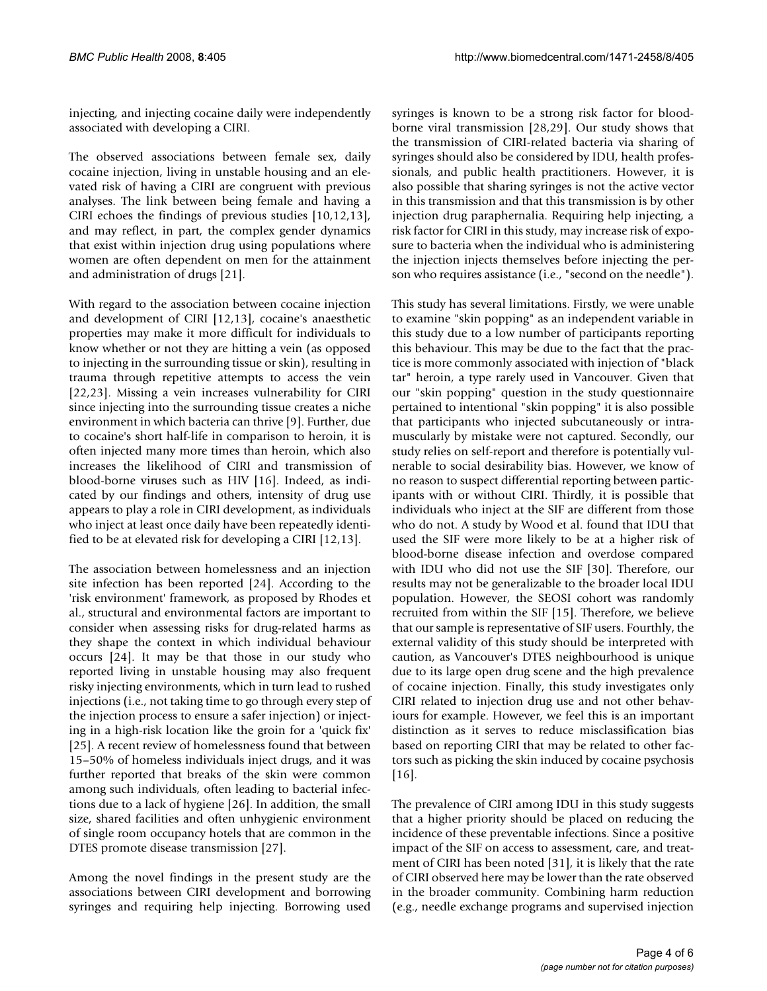injecting, and injecting cocaine daily were independently associated with developing a CIRI.

The observed associations between female sex, daily cocaine injection, living in unstable housing and an elevated risk of having a CIRI are congruent with previous analyses. The link between being female and having a CIRI echoes the findings of previous studies [10,12,13], and may reflect, in part, the complex gender dynamics that exist within injection drug using populations where women are often dependent on men for the attainment and administration of drugs [21].

With regard to the association between cocaine injection and development of CIRI [12,13], cocaine's anaesthetic properties may make it more difficult for individuals to know whether or not they are hitting a vein (as opposed to injecting in the surrounding tissue or skin), resulting in trauma through repetitive attempts to access the vein [22,23]. Missing a vein increases vulnerability for CIRI since injecting into the surrounding tissue creates a niche environment in which bacteria can thrive [9]. Further, due to cocaine's short half-life in comparison to heroin, it is often injected many more times than heroin, which also increases the likelihood of CIRI and transmission of blood-borne viruses such as HIV [16]. Indeed, as indicated by our findings and others, intensity of drug use appears to play a role in CIRI development, as individuals who inject at least once daily have been repeatedly identified to be at elevated risk for developing a CIRI [12,13].

The association between homelessness and an injection site infection has been reported [24]. According to the 'risk environment' framework, as proposed by Rhodes et al., structural and environmental factors are important to consider when assessing risks for drug-related harms as they shape the context in which individual behaviour occurs [24]. It may be that those in our study who reported living in unstable housing may also frequent risky injecting environments, which in turn lead to rushed injections (i.e., not taking time to go through every step of the injection process to ensure a safer injection) or injecting in a high-risk location like the groin for a 'quick fix' [25]. A recent review of homelessness found that between 15–50% of homeless individuals inject drugs, and it was further reported that breaks of the skin were common among such individuals, often leading to bacterial infections due to a lack of hygiene [26]. In addition, the small size, shared facilities and often unhygienic environment of single room occupancy hotels that are common in the DTES promote disease transmission [27].

Among the novel findings in the present study are the associations between CIRI development and borrowing syringes and requiring help injecting. Borrowing used

syringes is known to be a strong risk factor for bloodborne viral transmission [28,29]. Our study shows that the transmission of CIRI-related bacteria via sharing of syringes should also be considered by IDU, health professionals, and public health practitioners. However, it is also possible that sharing syringes is not the active vector in this transmission and that this transmission is by other injection drug paraphernalia. Requiring help injecting, a risk factor for CIRI in this study, may increase risk of exposure to bacteria when the individual who is administering the injection injects themselves before injecting the person who requires assistance (i.e., "second on the needle").

This study has several limitations. Firstly, we were unable to examine "skin popping" as an independent variable in this study due to a low number of participants reporting this behaviour. This may be due to the fact that the practice is more commonly associated with injection of "black tar" heroin, a type rarely used in Vancouver. Given that our "skin popping" question in the study questionnaire pertained to intentional "skin popping" it is also possible that participants who injected subcutaneously or intramuscularly by mistake were not captured. Secondly, our study relies on self-report and therefore is potentially vulnerable to social desirability bias. However, we know of no reason to suspect differential reporting between participants with or without CIRI. Thirdly, it is possible that individuals who inject at the SIF are different from those who do not. A study by Wood et al. found that IDU that used the SIF were more likely to be at a higher risk of blood-borne disease infection and overdose compared with IDU who did not use the SIF [30]. Therefore, our results may not be generalizable to the broader local IDU population. However, the SEOSI cohort was randomly recruited from within the SIF [15]. Therefore, we believe that our sample is representative of SIF users. Fourthly, the external validity of this study should be interpreted with caution, as Vancouver's DTES neighbourhood is unique due to its large open drug scene and the high prevalence of cocaine injection. Finally, this study investigates only CIRI related to injection drug use and not other behaviours for example. However, we feel this is an important distinction as it serves to reduce misclassification bias based on reporting CIRI that may be related to other factors such as picking the skin induced by cocaine psychosis [16].

The prevalence of CIRI among IDU in this study suggests that a higher priority should be placed on reducing the incidence of these preventable infections. Since a positive impact of the SIF on access to assessment, care, and treatment of CIRI has been noted [31], it is likely that the rate of CIRI observed here may be lower than the rate observed in the broader community. Combining harm reduction (e.g., needle exchange programs and supervised injection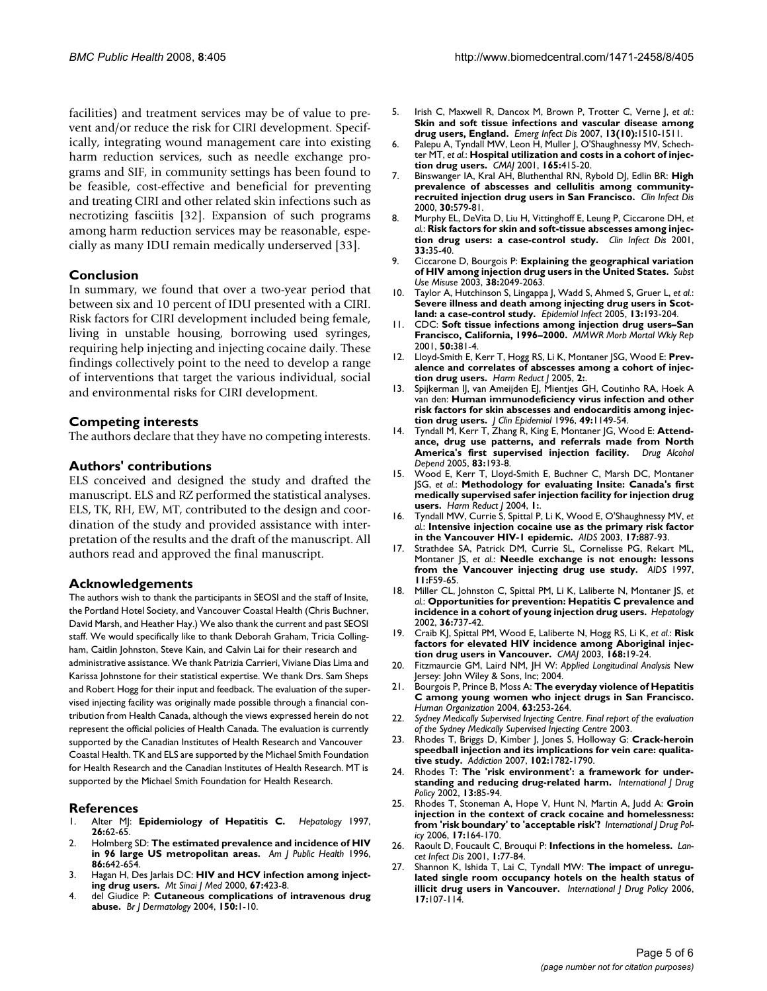facilities) and treatment services may be of value to prevent and/or reduce the risk for CIRI development. Specifically, integrating wound management care into existing harm reduction services, such as needle exchange programs and SIF, in community settings has been found to be feasible, cost-effective and beneficial for preventing and treating CIRI and other related skin infections such as necrotizing fasciitis [32]. Expansion of such programs among harm reduction services may be reasonable, especially as many IDU remain medically underserved [33].

# **Conclusion**

In summary, we found that over a two-year period that between six and 10 percent of IDU presented with a CIRI. Risk factors for CIRI development included being female, living in unstable housing, borrowing used syringes, requiring help injecting and injecting cocaine daily. These findings collectively point to the need to develop a range of interventions that target the various individual, social and environmental risks for CIRI development.

# **Competing interests**

The authors declare that they have no competing interests.

# **Authors' contributions**

ELS conceived and designed the study and drafted the manuscript. ELS and RZ performed the statistical analyses. ELS, TK, RH, EW, MT, contributed to the design and coordination of the study and provided assistance with interpretation of the results and the draft of the manuscript. All authors read and approved the final manuscript.

# **Acknowledgements**

The authors wish to thank the participants in SEOSI and the staff of Insite, the Portland Hotel Society, and Vancouver Coastal Health (Chris Buchner, David Marsh, and Heather Hay.) We also thank the current and past SEOSI staff. We would specifically like to thank Deborah Graham, Tricia Collingham, Caitlin Johnston, Steve Kain, and Calvin Lai for their research and administrative assistance. We thank Patrizia Carrieri, Viviane Dias Lima and Karissa Johnstone for their statistical expertise. We thank Drs. Sam Sheps and Robert Hogg for their input and feedback. The evaluation of the supervised injecting facility was originally made possible through a financial contribution from Health Canada, although the views expressed herein do not represent the official policies of Health Canada. The evaluation is currently supported by the Canadian Institutes of Health Research and Vancouver Coastal Health. TK and ELS are supported by the Michael Smith Foundation for Health Research and the Canadian Institutes of Health Research. MT is supported by the Michael Smith Foundation for Health Research.

#### **References**

- 1. Alter MJ: **Epidemiology of Hepatitis C.** *Hepatology* 1997, **26:**62-65.
- 2. Holmberg SD: **[The estimated prevalence and incidence of HIV](http://www.ncbi.nlm.nih.gov/entrez/query.fcgi?cmd=Retrieve&db=PubMed&dopt=Abstract&list_uids=8629714) [in 96 large US metropolitan areas.](http://www.ncbi.nlm.nih.gov/entrez/query.fcgi?cmd=Retrieve&db=PubMed&dopt=Abstract&list_uids=8629714)** *Am J Public Health* 1996, **86:**642-654.
- 3. Hagan H, Des Jarlais DC: **[HIV and HCV infection among inject](http://www.ncbi.nlm.nih.gov/entrez/query.fcgi?cmd=Retrieve&db=PubMed&dopt=Abstract&list_uids=11064493)[ing drug users.](http://www.ncbi.nlm.nih.gov/entrez/query.fcgi?cmd=Retrieve&db=PubMed&dopt=Abstract&list_uids=11064493)** *Mt Sinai J Med* 2000, **67:**423-8.
- 4. del Giudice P: **Cutaneous complications of intravenous drug abuse.** *Br J Dermatology* 2004, **150:**1-10.
- 5. Irish C, Maxwell R, Dancox M, Brown P, Trotter C, Verne J, *et al.*: **[Skin and soft tissue infections and vascular disease among](http://www.ncbi.nlm.nih.gov/entrez/query.fcgi?cmd=Retrieve&db=PubMed&dopt=Abstract&list_uids=18257999) [drug users, England.](http://www.ncbi.nlm.nih.gov/entrez/query.fcgi?cmd=Retrieve&db=PubMed&dopt=Abstract&list_uids=18257999)** *Emerg Infect Dis* 2007, **13(10):**1510-1511.
- 6. Palepu A, Tyndall MW, Leon H, Muller J, O'Shaughnessy MV, Schechter MT, *et al.*: **[Hospital utilization and costs in a cohort of injec](http://www.ncbi.nlm.nih.gov/entrez/query.fcgi?cmd=Retrieve&db=PubMed&dopt=Abstract&list_uids=11531049)[tion drug users.](http://www.ncbi.nlm.nih.gov/entrez/query.fcgi?cmd=Retrieve&db=PubMed&dopt=Abstract&list_uids=11531049)** *CMAJ* 2001, **165:**415-20.
- 7. Binswanger IA, Kral AH, Bluthenthal RN, Rybold DJ, Edlin BR: **[High](http://www.ncbi.nlm.nih.gov/entrez/query.fcgi?cmd=Retrieve&db=PubMed&dopt=Abstract&list_uids=10722447) [prevalence of abscesses and cellulitis among community](http://www.ncbi.nlm.nih.gov/entrez/query.fcgi?cmd=Retrieve&db=PubMed&dopt=Abstract&list_uids=10722447)[recruited injection drug users in San Francisco.](http://www.ncbi.nlm.nih.gov/entrez/query.fcgi?cmd=Retrieve&db=PubMed&dopt=Abstract&list_uids=10722447)** *Clin Infect Dis* 2000, **30:**579-81.
- 8. Murphy EL, DeVita D, Liu H, Vittinghoff E, Leung P, Ciccarone DH, *et al.*: **[Risk factors for skin and soft-tissue abscesses among injec](http://www.ncbi.nlm.nih.gov/entrez/query.fcgi?cmd=Retrieve&db=PubMed&dopt=Abstract&list_uids=11389492)[tion drug users: a case-control study.](http://www.ncbi.nlm.nih.gov/entrez/query.fcgi?cmd=Retrieve&db=PubMed&dopt=Abstract&list_uids=11389492)** *Clin Infect Dis* 2001, **33:**35-40.
- 9. Ciccarone D, Bourgois P: **[Explaining the geographical variation](http://www.ncbi.nlm.nih.gov/entrez/query.fcgi?cmd=Retrieve&db=PubMed&dopt=Abstract&list_uids=14677781) [of HIV among injection drug users in the United States.](http://www.ncbi.nlm.nih.gov/entrez/query.fcgi?cmd=Retrieve&db=PubMed&dopt=Abstract&list_uids=14677781)** *Subst Use Misuse* 2003, **38:**2049-2063.
- 10. Taylor A, Hutchinson S, Lingappa J, Wadd S, Ahmed S, Gruer L, *et al.*: **Severe illness and death among injecting drug users in Scotland: a case-control study.** *Epidemiol Infect* 2005, **13:**193-204.
- 11. CDC: **[Soft tissue infections among injection drug users–San](http://www.ncbi.nlm.nih.gov/entrez/query.fcgi?cmd=Retrieve&db=PubMed&dopt=Abstract&list_uids=11465906) [Francisco, California, 1996–2000.](http://www.ncbi.nlm.nih.gov/entrez/query.fcgi?cmd=Retrieve&db=PubMed&dopt=Abstract&list_uids=11465906)** *MMWR Morb Mortal Wkly Rep* 2001, **50:**381-4.
- 12. Lloyd-Smith E, Kerr T, Hogg RS, Li K, Montaner JSG, Wood E: **[Prev](http://www.ncbi.nlm.nih.gov/entrez/query.fcgi?cmd=Retrieve&db=PubMed&dopt=Abstract&list_uids=16281979)[alence and correlates of abscesses among a cohort of injec](http://www.ncbi.nlm.nih.gov/entrez/query.fcgi?cmd=Retrieve&db=PubMed&dopt=Abstract&list_uids=16281979)[tion drug users.](http://www.ncbi.nlm.nih.gov/entrez/query.fcgi?cmd=Retrieve&db=PubMed&dopt=Abstract&list_uids=16281979)** *Harm Reduct J* 2005, **2:**.
- 13. Spijkerman IJ, van Ameijden EJ, Mientjes GH, Coutinho RA, Hoek A van den: **[Human immunodeficiency virus infection and other](http://www.ncbi.nlm.nih.gov/entrez/query.fcgi?cmd=Retrieve&db=PubMed&dopt=Abstract&list_uids=8826995) [risk factors for skin abscesses and endocarditis among injec](http://www.ncbi.nlm.nih.gov/entrez/query.fcgi?cmd=Retrieve&db=PubMed&dopt=Abstract&list_uids=8826995)[tion drug users.](http://www.ncbi.nlm.nih.gov/entrez/query.fcgi?cmd=Retrieve&db=PubMed&dopt=Abstract&list_uids=8826995)** *J Clin Epidemiol* 1996, **49:**1149-54.
- 14. Tyndall M, Kerr T, Zhang R, King E, Montaner JG, Wood E: **[Attend](http://www.ncbi.nlm.nih.gov/entrez/query.fcgi?cmd=Retrieve&db=PubMed&dopt=Abstract&list_uids=16356659)[ance, drug use patterns, and referrals made from North](http://www.ncbi.nlm.nih.gov/entrez/query.fcgi?cmd=Retrieve&db=PubMed&dopt=Abstract&list_uids=16356659) [America's first supervised injection facility.](http://www.ncbi.nlm.nih.gov/entrez/query.fcgi?cmd=Retrieve&db=PubMed&dopt=Abstract&list_uids=16356659)** *Drug Alcohol Depend* 2005, **83:**193-8.
- 15. Wood E, Kerr T, Lloyd-Smith E, Buchner C, Marsh DC, Montaner JSG, *et al.*: **[Methodology for evaluating Insite: Canada's first](http://www.ncbi.nlm.nih.gov/entrez/query.fcgi?cmd=Retrieve&db=PubMed&dopt=Abstract&list_uids=15535885) [medically supervised safer injection facility for injection drug](http://www.ncbi.nlm.nih.gov/entrez/query.fcgi?cmd=Retrieve&db=PubMed&dopt=Abstract&list_uids=15535885) [users.](http://www.ncbi.nlm.nih.gov/entrez/query.fcgi?cmd=Retrieve&db=PubMed&dopt=Abstract&list_uids=15535885)** *Harm Reduct J* 2004, **1:**.
- 16. Tyndall MW, Currie S, Spittal P, Li K, Wood E, O'Shaughnessy MV, *et al.*: **[Intensive injection cocaine use as the primary risk factor](http://www.ncbi.nlm.nih.gov/entrez/query.fcgi?cmd=Retrieve&db=PubMed&dopt=Abstract&list_uids=12660536) [in the Vancouver HIV-1 epidemic.](http://www.ncbi.nlm.nih.gov/entrez/query.fcgi?cmd=Retrieve&db=PubMed&dopt=Abstract&list_uids=12660536)** *AIDS* 2003, **17:**887-93.
- 17. Strathdee SA, Patrick DM, Currie SL, Cornelisse PG, Rekart ML, Montaner JS, *et al.*: **[Needle exchange is not enough: lessons](http://www.ncbi.nlm.nih.gov/entrez/query.fcgi?cmd=Retrieve&db=PubMed&dopt=Abstract&list_uids=9223727) [from the Vancouver injecting drug use study.](http://www.ncbi.nlm.nih.gov/entrez/query.fcgi?cmd=Retrieve&db=PubMed&dopt=Abstract&list_uids=9223727)** *AIDS* 1997, **11:**F59-65.
- 18. Miller CL, Johnston C, Spittal PM, Li K, Laliberte N, Montaner JS, *et al.*: **[Opportunities for prevention: Hepatitis C prevalence and](http://www.ncbi.nlm.nih.gov/entrez/query.fcgi?cmd=Retrieve&db=PubMed&dopt=Abstract&list_uids=12198668) [incidence in a cohort of young injection drug users.](http://www.ncbi.nlm.nih.gov/entrez/query.fcgi?cmd=Retrieve&db=PubMed&dopt=Abstract&list_uids=12198668)** *Hepatology* 2002, **36:**737-42.
- 19. Craib KJ, Spittal PM, Wood E, Laliberte N, Hogg RS, Li K, *et al.*: **[Risk](http://www.ncbi.nlm.nih.gov/entrez/query.fcgi?cmd=Retrieve&db=PubMed&dopt=Abstract&list_uids=12515780) [factors for elevated HIV incidence among Aboriginal injec](http://www.ncbi.nlm.nih.gov/entrez/query.fcgi?cmd=Retrieve&db=PubMed&dopt=Abstract&list_uids=12515780)[tion drug users in Vancouver.](http://www.ncbi.nlm.nih.gov/entrez/query.fcgi?cmd=Retrieve&db=PubMed&dopt=Abstract&list_uids=12515780)** *CMAJ* 2003, **168:**19-24.
- 20. Fitzmaurcie GM, Laird NM, JH W: *Applied Longitudinal Analysis* New Jersey: John Wiley & Sons, Inc; 2004.
- 21. Bourgois P, Prince B, Moss A: **[The everyday violence of Hepatitis](http://www.ncbi.nlm.nih.gov/entrez/query.fcgi?cmd=Retrieve&db=PubMed&dopt=Abstract&list_uids=16685288) [C among young women who inject drugs in San Francisco.](http://www.ncbi.nlm.nih.gov/entrez/query.fcgi?cmd=Retrieve&db=PubMed&dopt=Abstract&list_uids=16685288)** *Human Organization* 2004, **63:**253-264.
- 22. *Sydney Medically Supervised Injecting Centre. Final report of the evaluation of the Sydney Medically Supervised Injecting Centre* 2003.
- 23. Rhodes T, Briggs D, Kimber J, Jones S, Holloway G: **[Crack-heroin](http://www.ncbi.nlm.nih.gov/entrez/query.fcgi?cmd=Retrieve&db=PubMed&dopt=Abstract&list_uids=17784900) [speedball injection and its implications for vein care: qualita](http://www.ncbi.nlm.nih.gov/entrez/query.fcgi?cmd=Retrieve&db=PubMed&dopt=Abstract&list_uids=17784900)[tive study.](http://www.ncbi.nlm.nih.gov/entrez/query.fcgi?cmd=Retrieve&db=PubMed&dopt=Abstract&list_uids=17784900)** *Addiction* 2007, **102:**1782-1790.
- 24. Rhodes T: **The 'risk environment': a framework for understanding and reducing drug-related harm.** *International J Drug Policy* 2002, **13:**85-94.
- 25. Rhodes T, Stoneman A, Hope V, Hunt N, Martin A, Judd A: **Groin injection in the context of crack cocaine and homelessness: from 'risk boundary' to 'acceptable risk'?** *International J Drug Policy* 2006, **17:**164-170.
- 26. Raoult D, Foucault C, Brouqui P: **[Infections in the homeless.](http://www.ncbi.nlm.nih.gov/entrez/query.fcgi?cmd=Retrieve&db=PubMed&dopt=Abstract&list_uids=11871479)** *Lancet Infect Dis* 2001, **1:**77-84.
- 27. Shannon K, Ishida T, Lai C, Tyndall MW: **The impact of unregulated single room occupancy hotels on the health status of illicit drug users in Vancouver.** *International J Drug Policy* 2006, **17:**107-114.